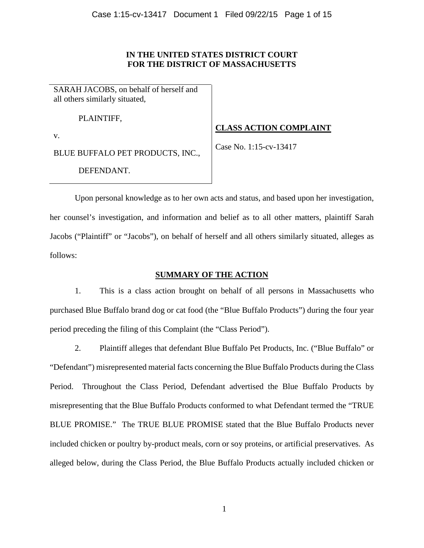## **IN THE UNITED STATES DISTRICT COURT FOR THE DISTRICT OF MASSACHUSETTS**

SARAH JACOBS, on behalf of herself and all others similarly situated,

PLAINTIFF,

## **CLASS ACTION COMPLAINT**

v.

Case No. 1:15-cv-13417

BLUE BUFFALO PET PRODUCTS, INC., DEFENDANT.

Upon personal knowledge as to her own acts and status, and based upon her investigation, her counsel's investigation, and information and belief as to all other matters, plaintiff Sarah Jacobs ("Plaintiff" or "Jacobs"), on behalf of herself and all others similarly situated, alleges as follows:

## **SUMMARY OF THE ACTION**

1. This is a class action brought on behalf of all persons in Massachusetts who purchased Blue Buffalo brand dog or cat food (the "Blue Buffalo Products") during the four year period preceding the filing of this Complaint (the "Class Period").

2. Plaintiff alleges that defendant Blue Buffalo Pet Products, Inc. ("Blue Buffalo" or "Defendant") misrepresented material facts concerning the Blue Buffalo Products during the Class Period. Throughout the Class Period, Defendant advertised the Blue Buffalo Products by misrepresenting that the Blue Buffalo Products conformed to what Defendant termed the "TRUE BLUE PROMISE." The TRUE BLUE PROMISE stated that the Blue Buffalo Products never included chicken or poultry by-product meals, corn or soy proteins, or artificial preservatives. As alleged below, during the Class Period, the Blue Buffalo Products actually included chicken or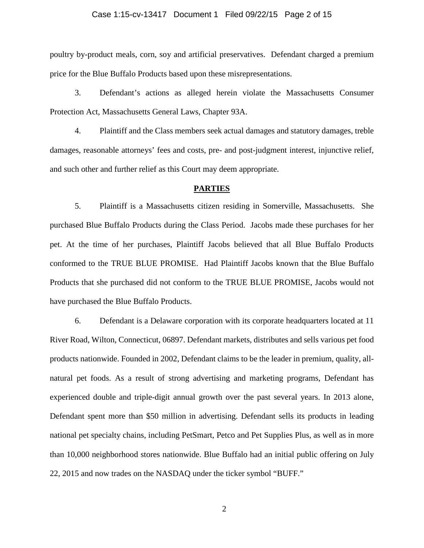## Case 1:15-cv-13417 Document 1 Filed 09/22/15 Page 2 of 15

poultry by-product meals, corn, soy and artificial preservatives. Defendant charged a premium price for the Blue Buffalo Products based upon these misrepresentations.

3. Defendant's actions as alleged herein violate the Massachusetts Consumer Protection Act, Massachusetts General Laws, Chapter 93A.

4. Plaintiff and the Class members seek actual damages and statutory damages, treble damages, reasonable attorneys' fees and costs, pre- and post-judgment interest, injunctive relief, and such other and further relief as this Court may deem appropriate.

## **PARTIES**

5. Plaintiff is a Massachusetts citizen residing in Somerville, Massachusetts. She purchased Blue Buffalo Products during the Class Period. Jacobs made these purchases for her pet. At the time of her purchases, Plaintiff Jacobs believed that all Blue Buffalo Products conformed to the TRUE BLUE PROMISE. Had Plaintiff Jacobs known that the Blue Buffalo Products that she purchased did not conform to the TRUE BLUE PROMISE, Jacobs would not have purchased the Blue Buffalo Products.

6. Defendant is a Delaware corporation with its corporate headquarters located at 11 River Road, Wilton, Connecticut, 06897. Defendant markets, distributes and sells various pet food products nationwide. Founded in 2002, Defendant claims to be the leader in premium, quality, allnatural pet foods. As a result of strong advertising and marketing programs, Defendant has experienced double and triple-digit annual growth over the past several years. In 2013 alone, Defendant spent more than \$50 million in advertising. Defendant sells its products in leading national pet specialty chains, including PetSmart, Petco and Pet Supplies Plus, as well as in more than 10,000 neighborhood stores nationwide. Blue Buffalo had an initial public offering on July 22, 2015 and now trades on the NASDAQ under the ticker symbol "BUFF."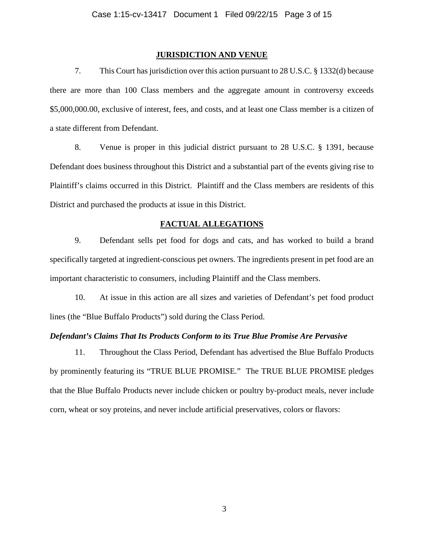## **JURISDICTION AND VENUE**

7. This Court has jurisdiction over this action pursuant to 28 U.S.C. § 1332(d) because there are more than 100 Class members and the aggregate amount in controversy exceeds \$5,000,000.00, exclusive of interest, fees, and costs, and at least one Class member is a citizen of a state different from Defendant.

8. Venue is proper in this judicial district pursuant to 28 U.S.C. § 1391, because Defendant does business throughout this District and a substantial part of the events giving rise to Plaintiff's claims occurred in this District. Plaintiff and the Class members are residents of this District and purchased the products at issue in this District.

## **FACTUAL ALLEGATIONS**

9. Defendant sells pet food for dogs and cats, and has worked to build a brand specifically targeted at ingredient-conscious pet owners. The ingredients present in pet food are an important characteristic to consumers, including Plaintiff and the Class members.

10. At issue in this action are all sizes and varieties of Defendant's pet food product lines (the "Blue Buffalo Products") sold during the Class Period.

## *Defendant's Claims That Its Products Conform to its True Blue Promise Are Pervasive*

11. Throughout the Class Period, Defendant has advertised the Blue Buffalo Products by prominently featuring its "TRUE BLUE PROMISE." The TRUE BLUE PROMISE pledges that the Blue Buffalo Products never include chicken or poultry by-product meals, never include corn, wheat or soy proteins, and never include artificial preservatives, colors or flavors:

3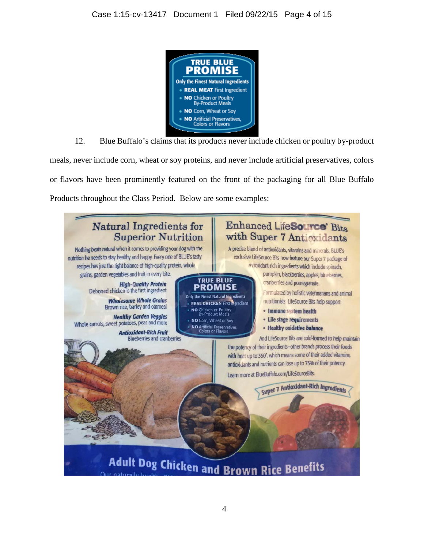

12. Blue Buffalo's claims that its products never include chicken or poultry by-product meals, never include corn, wheat or soy proteins, and never include artificial preservatives, colors or flavors have been prominently featured on the front of the packaging for all Blue Buffalo Products throughout the Class Period. Below are some examples:

**Enhanced LifeSource' Bits Natural Ingredients for** with Super 7 Antioxidants **Superior Nutrition** Nothing beats natural when it comes to providing your dog with the A precise blend of antioxidants, vitamins and minerals, BLUE's nutrition he needs to stay healthy and happy. Every one of BLUE's tasty exclusive LifeSource Bits now feature our Super 7 package of antioxidant-rich ingredients which include spinach, recipes has just the right balance of high-quality protein, whole grains, garden vegetables and fruit in every bite. pumpkin, blackberries, apples, blueberries, **TRUE BLUE** cranberries and pomegranate. **High-Quality Protein PROMISE** Deboned chicken is the first ingredient Formulated by holistic veterinarians and animal Only the Finest Natural Ingredients<br>• REAL CHICKEN First Ingredient **Wholesome Whole Grains** nutritionists, LifeSource Bits help support: Brown rice, barley and oatmeal NO Chicken or Poultry<br>By-Product Meals • Immune system health **Healthy Garden Veggies** · Life stage requirements NO Corn, Wheat or Soy Whole carrots, sweet potatoes, peas and more NO Artificial Preservatives<br>Colors or Flavors • Healthy oxidative balance **Antioxidant-Rich Fruit** And LifeSource Bits are cold-formed to help maintain **Blueberries and cranberries** the potency of their ingredients-other brands process their foods with heat up to 350°, which means some of their added vitamins, antioxidants and nutrients can lose up to 75% of their potency. Learn more at BlueBuffalo.com/LifeSourceBits. **Super 7 Antioxidant-Rich Ingredients** Adult Dog Chicken and Brown Rice Benefits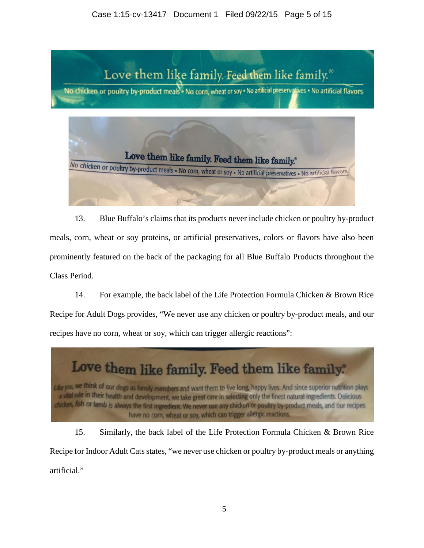

13. Blue Buffalo's claims that its products never include chicken or poultry by-product meals, corn, wheat or soy proteins, or artificial preservatives, colors or flavors have also been prominently featured on the back of the packaging for all Blue Buffalo Products throughout the Class Period.

14. For example, the back label of the Life Protection Formula Chicken & Brown Rice Recipe for Adult Dogs provides, "We never use any chicken or poultry by-product meals, and our recipes have no corn, wheat or soy, which can trigger allergic reactions":



15. Similarly, the back label of the Life Protection Formula Chicken & Brown Rice Recipe for Indoor Adult Cats states, "we never use chicken or poultry by-product meals or anything artificial."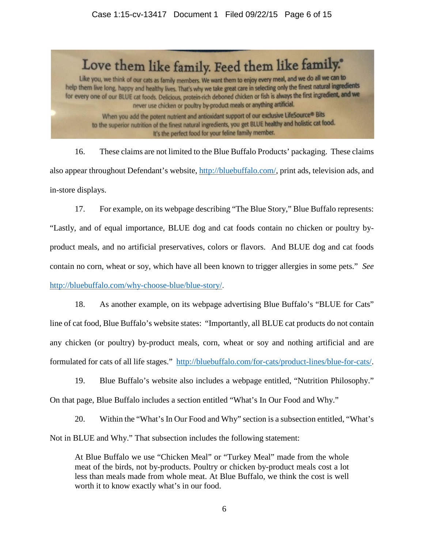# Love them like family. Feed them like family.'

Like you, we think of our cats as family members. We want them to enjoy every meal, and we do all we can to help them live long, happy and healthy lives. That's why we take great care in selecting only the finest natural ingredients for every one of our BLUE cat foods. Delicious, protein-rich deboned chicken or fish is always the first ingredient, and we never use chicken or poultry by-product meals or anything artificial.

When you add the potent nutrient and antioxidant support of our exclusive LifeSource® Bits to the superior nutrition of the finest natural ingredients, you get BLUE healthy and holistic cat food. It's the perfect food for your feline family member.

16. These claims are not limited to the Blue Buffalo Products' packaging. These claims also appear throughout Defendant's website, [http://bluebuffalo.com/,](http://bluebuffalo.com/) print ads, television ads, and in-store displays.

17. For example, on its webpage describing "The Blue Story," Blue Buffalo represents: "Lastly, and of equal importance, BLUE dog and cat foods contain no chicken or poultry byproduct meals, and no artificial preservatives, colors or flavors. And BLUE dog and cat foods contain no corn, wheat or soy, which have all been known to trigger allergies in some pets." *See* [http://bluebuffalo.com/why-choose-blue/blue-story/.](http://bluebuffalo.com/why-choose-blue/blue-story/)

18. As another example, on its webpage advertising Blue Buffalo's "BLUE for Cats" line of cat food, Blue Buffalo's website states: "Importantly, all BLUE cat products do not contain any chicken (or poultry) by-product meals, corn, wheat or soy and nothing artificial and are formulated for cats of all life stages." [http://bluebuffalo.com/for-cats/product-lines/blue-for-cats/.](http://bluebuffalo.com/for-cats/product-lines/blue-for-cats/)

19. Blue Buffalo's website also includes a webpage entitled, "Nutrition Philosophy." On that page, Blue Buffalo includes a section entitled "What's In Our Food and Why."

20. Within the "What's In Our Food and Why" section is a subsection entitled, "What's Not in BLUE and Why." That subsection includes the following statement:

At Blue Buffalo we use "Chicken Meal" or "Turkey Meal" made from the whole meat of the birds, not by-products. Poultry or chicken by-product meals cost a lot less than meals made from whole meat. At Blue Buffalo, we think the cost is well worth it to know exactly what's in our food.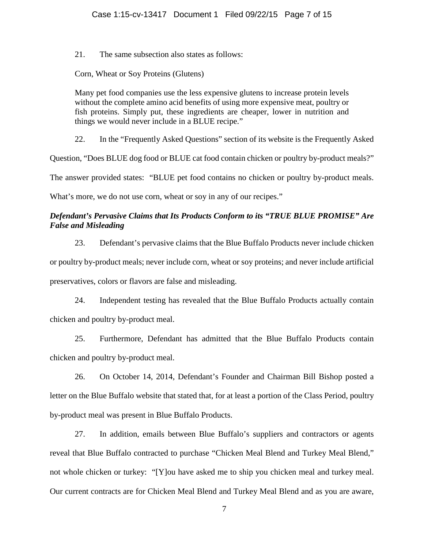21. The same subsection also states as follows:

Corn, Wheat or Soy Proteins (Glutens)

Many pet food companies use the less expensive glutens to increase protein levels without the complete amino acid benefits of using more expensive meat, poultry or fish proteins. Simply put, these ingredients are cheaper, lower in nutrition and things we would never include in a BLUE recipe."

22. In the "Frequently Asked Questions" section of its website is the Frequently Asked

Question, "Does BLUE dog food or BLUE cat food contain chicken or poultry by-product meals?"

The answer provided states: "BLUE pet food contains no chicken or poultry by-product meals.

What's more, we do not use corn, wheat or soy in any of our recipes."

## *Defendant's Pervasive Claims that Its Products Conform to its "TRUE BLUE PROMISE" Are False and Misleading*

23. Defendant's pervasive claims that the Blue Buffalo Products never include chicken or poultry by-product meals; never include corn, wheat or soy proteins; and never include artificial preservatives, colors or flavors are false and misleading.

24. Independent testing has revealed that the Blue Buffalo Products actually contain chicken and poultry by-product meal.

25. Furthermore, Defendant has admitted that the Blue Buffalo Products contain chicken and poultry by-product meal.

26. On October 14, 2014, Defendant's Founder and Chairman Bill Bishop posted a letter on the Blue Buffalo website that stated that, for at least a portion of the Class Period, poultry by-product meal was present in Blue Buffalo Products.

27. In addition, emails between Blue Buffalo's suppliers and contractors or agents reveal that Blue Buffalo contracted to purchase "Chicken Meal Blend and Turkey Meal Blend," not whole chicken or turkey: "[Y]ou have asked me to ship you chicken meal and turkey meal. Our current contracts are for Chicken Meal Blend and Turkey Meal Blend and as you are aware,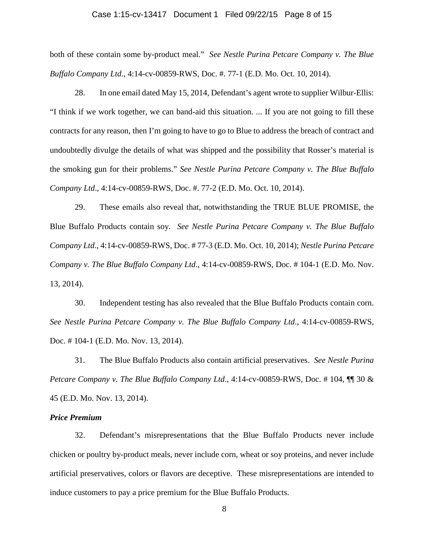## Case 1:15-cv-13417 Document 1 Filed 09/22/15 Page 8 of 15

both of these contain some by-product meal." *See Nestle Purina Petcare Company v. The Blue Buffalo Company Ltd*., 4:14-cv-00859-RWS, Doc. #. 77-1 (E.D. Mo. Oct. 10, 2014).

28. In one email dated May 15, 2014, Defendant's agent wrote to supplier Wilbur-Ellis: "I think if we work together, we can band-aid this situation. ... If you are not going to fill these contracts for any reason, then I'm going to have to go to Blue to address the breach of contract and undoubtedly divulge the details of what was shipped and the possibility that Rosser's material is the smoking gun for their problems." *See Nestle Purina Petcare Company v. The Blue Buffalo Company Ltd*., 4:14-cv-00859-RWS, Doc. #. 77-2 (E.D. Mo. Oct. 10, 2014).

29. These emails also reveal that, notwithstanding the TRUE BLUE PROMISE, the Blue Buffalo Products contain soy. *See Nestle Purina Petcare Company v. The Blue Buffalo Company Ltd*., 4:14-cv-00859-RWS, Doc. # 77-3 (E.D. Mo. Oct. 10, 2014); *Nestle Purina Petcare Company v. The Blue Buffalo Company Ltd*., 4:14-cv-00859-RWS, Doc. # 104-1 (E.D. Mo. Nov. 13, 2014).

30. Independent testing has also revealed that the Blue Buffalo Products contain corn. *See Nestle Purina Petcare Company v. The Blue Buffalo Company Ltd*., 4:14-cv-00859-RWS, Doc. # 104-1 (E.D. Mo. Nov. 13, 2014).

31. The Blue Buffalo Products also contain artificial preservatives. *See Nestle Purina Petcare Company v. The Blue Buffalo Company Ltd*., 4:14-cv-00859-RWS, Doc. # 104, ¶¶ 30 & 45 (E.D. Mo. Nov. 13, 2014).

## *Price Premium*

32. Defendant's misrepresentations that the Blue Buffalo Products never include chicken or poultry by-product meals, never include corn, wheat or soy proteins, and never include artificial preservatives, colors or flavors are deceptive. These misrepresentations are intended to induce customers to pay a price premium for the Blue Buffalo Products.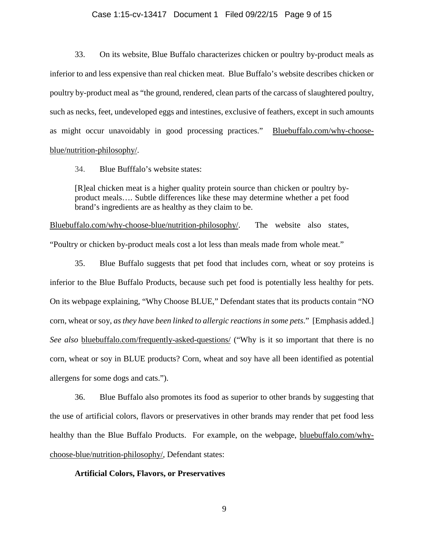## Case 1:15-cv-13417 Document 1 Filed 09/22/15 Page 9 of 15

33. On its website, Blue Buffalo characterizes chicken or poultry by-product meals as inferior to and less expensive than real chicken meat. Blue Buffalo's website describes chicken or poultry by-product meal as "the ground, rendered, clean parts of the carcass of slaughtered poultry, such as necks, feet, undeveloped eggs and intestines, exclusive of feathers, except in such amounts as might occur unavoidably in good processing practices." Bluebuffalo.com/why-chooseblue/nutrition-philosophy/.

34. Blue Bufffalo's website states:

[R]eal chicken meat is a higher quality protein source than chicken or poultry byproduct meals…. Subtle differences like these may determine whether a pet food brand's ingredients are as healthy as they claim to be.

Bluebuffalo.com/why-choose-blue/nutrition-philosophy/. The website also states, "Poultry or chicken by-product meals cost a lot less than meals made from whole meat."

35. Blue Buffalo suggests that pet food that includes corn, wheat or soy proteins is inferior to the Blue Buffalo Products, because such pet food is potentially less healthy for pets. On its webpage explaining, "Why Choose BLUE," Defendant states that its products contain "NO corn, wheat or soy, *as they have been linked to allergic reactions in some pets*." [Emphasis added.] *See also* bluebuffalo.com/frequently-asked-questions/ ("Why is it so important that there is no corn, wheat or soy in BLUE products? Corn, wheat and soy have all been identified as potential allergens for some dogs and cats.").

36. Blue Buffalo also promotes its food as superior to other brands by suggesting that the use of artificial colors, flavors or preservatives in other brands may render that pet food less healthy than the Blue Buffalo Products. For example, on the webpage, bluebuffalo.com/whychoose-blue/nutrition-philosophy/, Defendant states:

## **Artificial Colors, Flavors, or Preservatives**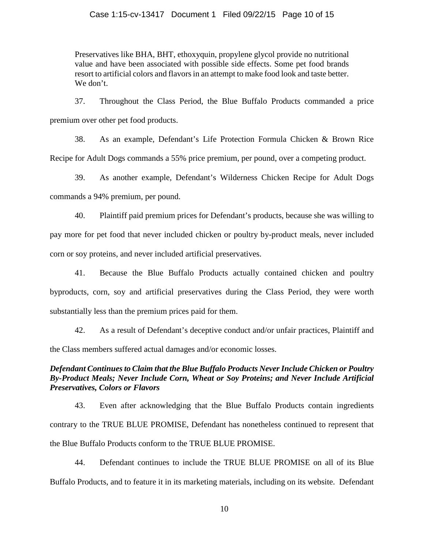Preservatives like BHA, BHT, ethoxyquin, propylene glycol provide no nutritional value and have been associated with possible side effects. Some pet food brands resort to artificial colors and flavors in an attempt to make food look and taste better. We don't.

37. Throughout the Class Period, the Blue Buffalo Products commanded a price premium over other pet food products.

38. As an example, Defendant's Life Protection Formula Chicken & Brown Rice Recipe for Adult Dogs commands a 55% price premium, per pound, over a competing product.

39. As another example, Defendant's Wilderness Chicken Recipe for Adult Dogs commands a 94% premium, per pound.

40. Plaintiff paid premium prices for Defendant's products, because she was willing to pay more for pet food that never included chicken or poultry by-product meals, never included corn or soy proteins, and never included artificial preservatives.

41. Because the Blue Buffalo Products actually contained chicken and poultry byproducts, corn, soy and artificial preservatives during the Class Period, they were worth substantially less than the premium prices paid for them.

42. As a result of Defendant's deceptive conduct and/or unfair practices, Plaintiff and the Class members suffered actual damages and/or economic losses.

## *Defendant Continues to Claim that the Blue Buffalo Products Never Include Chicken or Poultry By-Product Meals; Never Include Corn, Wheat or Soy Proteins; and Never Include Artificial Preservatives, Colors or Flavors*

43. Even after acknowledging that the Blue Buffalo Products contain ingredients contrary to the TRUE BLUE PROMISE, Defendant has nonetheless continued to represent that the Blue Buffalo Products conform to the TRUE BLUE PROMISE.

44. Defendant continues to include the TRUE BLUE PROMISE on all of its Blue Buffalo Products, and to feature it in its marketing materials, including on its website. Defendant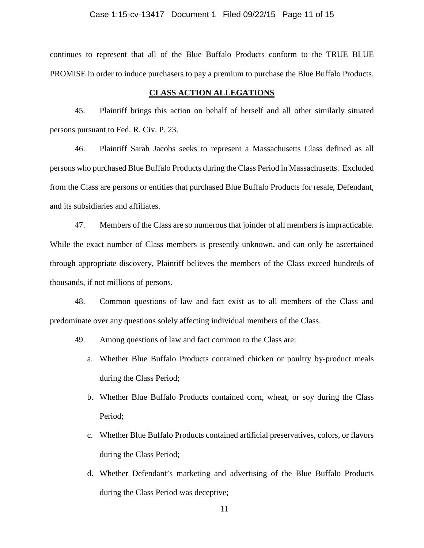## Case 1:15-cv-13417 Document 1 Filed 09/22/15 Page 11 of 15

continues to represent that all of the Blue Buffalo Products conform to the TRUE BLUE PROMISE in order to induce purchasers to pay a premium to purchase the Blue Buffalo Products.

## **CLASS ACTION ALLEGATIONS**

45. Plaintiff brings this action on behalf of herself and all other similarly situated persons pursuant to Fed. R. Civ. P. 23.

46. Plaintiff Sarah Jacobs seeks to represent a Massachusetts Class defined as all persons who purchased Blue Buffalo Products during the Class Period in Massachusetts. Excluded from the Class are persons or entities that purchased Blue Buffalo Products for resale, Defendant, and its subsidiaries and affiliates.

47. Members of the Class are so numerous that joinder of all members is impracticable. While the exact number of Class members is presently unknown, and can only be ascertained through appropriate discovery, Plaintiff believes the members of the Class exceed hundreds of thousands, if not millions of persons.

48. Common questions of law and fact exist as to all members of the Class and predominate over any questions solely affecting individual members of the Class.

- 49. Among questions of law and fact common to the Class are:
	- a. Whether Blue Buffalo Products contained chicken or poultry by-product meals during the Class Period;
	- b. Whether Blue Buffalo Products contained corn, wheat, or soy during the Class Period;
	- c. Whether Blue Buffalo Products contained artificial preservatives, colors, or flavors during the Class Period;
	- d. Whether Defendant's marketing and advertising of the Blue Buffalo Products during the Class Period was deceptive;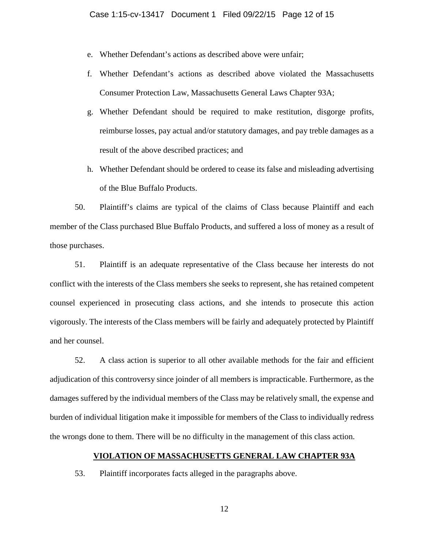- e. Whether Defendant's actions as described above were unfair;
- f. Whether Defendant's actions as described above violated the Massachusetts Consumer Protection Law, Massachusetts General Laws Chapter 93A;
- g. Whether Defendant should be required to make restitution, disgorge profits, reimburse losses, pay actual and/or statutory damages, and pay treble damages as a result of the above described practices; and
- h. Whether Defendant should be ordered to cease its false and misleading advertising of the Blue Buffalo Products.

50. Plaintiff's claims are typical of the claims of Class because Plaintiff and each member of the Class purchased Blue Buffalo Products, and suffered a loss of money as a result of those purchases.

51. Plaintiff is an adequate representative of the Class because her interests do not conflict with the interests of the Class members she seeks to represent, she has retained competent counsel experienced in prosecuting class actions, and she intends to prosecute this action vigorously. The interests of the Class members will be fairly and adequately protected by Plaintiff and her counsel.

52. A class action is superior to all other available methods for the fair and efficient adjudication of this controversy since joinder of all members is impracticable. Furthermore, as the damages suffered by the individual members of the Class may be relatively small, the expense and burden of individual litigation make it impossible for members of the Class to individually redress the wrongs done to them. There will be no difficulty in the management of this class action.

#### **VIOLATION OF MASSACHUSETTS GENERAL LAW CHAPTER 93A**

53. Plaintiff incorporates facts alleged in the paragraphs above.

12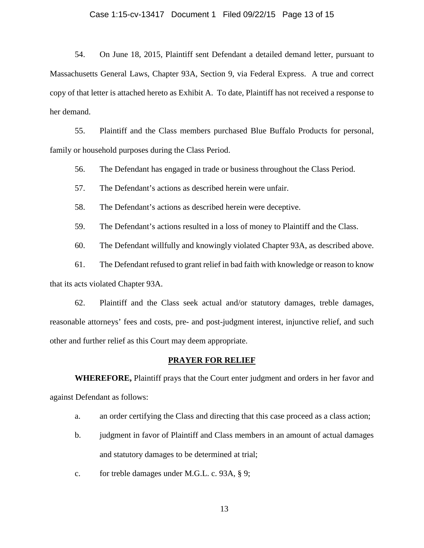## Case 1:15-cv-13417 Document 1 Filed 09/22/15 Page 13 of 15

54. On June 18, 2015, Plaintiff sent Defendant a detailed demand letter, pursuant to Massachusetts General Laws, Chapter 93A, Section 9, via Federal Express. A true and correct copy of that letter is attached hereto as Exhibit A. To date, Plaintiff has not received a response to her demand.

55. Plaintiff and the Class members purchased Blue Buffalo Products for personal, family or household purposes during the Class Period.

56. The Defendant has engaged in trade or business throughout the Class Period.

57. The Defendant's actions as described herein were unfair.

58. The Defendant's actions as described herein were deceptive.

59. The Defendant's actions resulted in a loss of money to Plaintiff and the Class.

60. The Defendant willfully and knowingly violated Chapter 93A, as described above.

61. The Defendant refused to grant relief in bad faith with knowledge or reason to know that its acts violated Chapter 93A.

62. Plaintiff and the Class seek actual and/or statutory damages, treble damages, reasonable attorneys' fees and costs, pre- and post-judgment interest, injunctive relief, and such other and further relief as this Court may deem appropriate.

## **PRAYER FOR RELIEF**

**WHEREFORE,** Plaintiff prays that the Court enter judgment and orders in her favor and against Defendant as follows:

- a. an order certifying the Class and directing that this case proceed as a class action;
- b. judgment in favor of Plaintiff and Class members in an amount of actual damages and statutory damages to be determined at trial;
- c. for treble damages under M.G.L. c. 93A, § 9;

13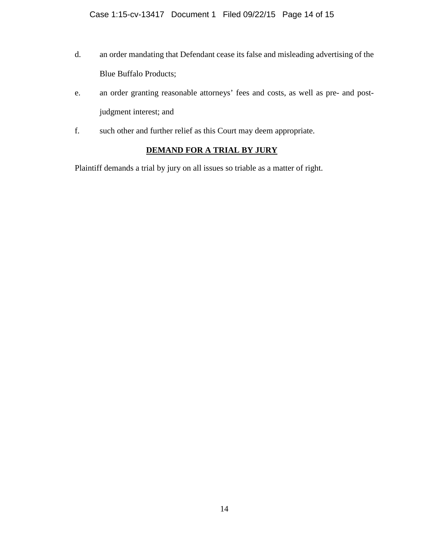- d. an order mandating that Defendant cease its false and misleading advertising of the Blue Buffalo Products;
- e. an order granting reasonable attorneys' fees and costs, as well as pre- and postjudgment interest; and
- f. such other and further relief as this Court may deem appropriate.

## **DEMAND FOR A TRIAL BY JURY**

Plaintiff demands a trial by jury on all issues so triable as a matter of right.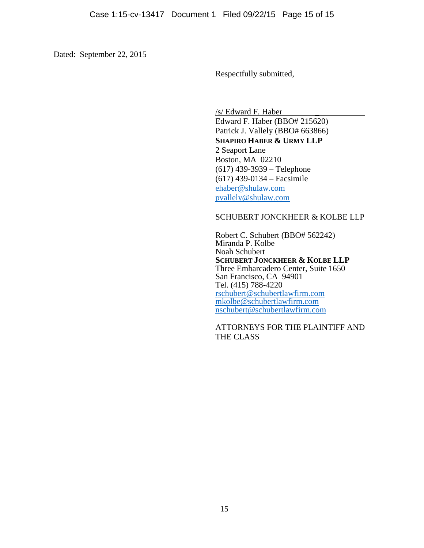Dated: September 22, 2015

Respectfully submitted,

/s/ Edward F. Haber \_

Edward F. Haber (BBO# 215620) Patrick J. Vallely (BBO# 663866) **SHAPIRO HABER & URMY LLP** 2 Seaport Lane Boston, MA 02210 (617) 439-3939 – Telephone (617) 439-0134 – Facsimile [ehaber@shulaw.com](mailto:ehaber@shulaw.com)  [pvallely@shulaw.com](mailto:pvallely@shulaw.com)

## SCHUBERT JONCKHEER & KOLBE LLP

Robert C. Schubert (BBO# 562242) Miranda P. Kolbe Noah Schubert **SCHUBERT JONCKHEER & KOLBE LLP** Three Embarcadero Center, Suite 1650 San Francisco, CA 94901 Tel. (415) 788-4220 [rschubert@schubertlawfirm.com](mailto:rschubert@schubertlawfirm.com) [mkolbe@schubertlawfirm.com](mailto:mkolbe@schubertlawfirm.com) [nschubert@schubertlawfirm.com](mailto:nschubert@schubertlawfirm.com)

ATTORNEYS FOR THE PLAINTIFF AND THE CLASS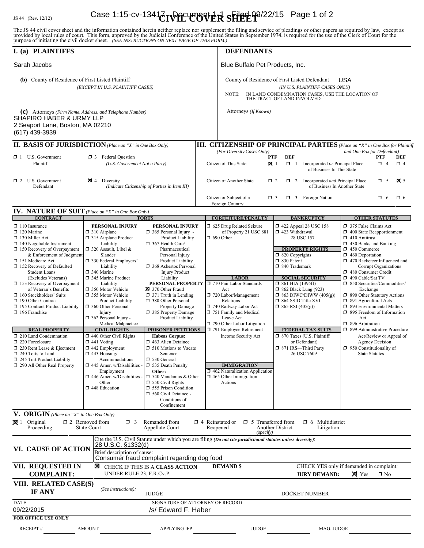## $\frac{1}{15}$  as  $\frac{6}{12}$  (Rev. 12/12) Case 1:15-cv-1341 $\sigma$ <sub>I</sub> $\gamma$ **n**CUM**GWER** SHEEP<sup>9/22/15 Page 1 of 2</sup>

The JS 44 civil cover sheet and the information contained herein neither replace nor supplement the filing and service of pleadings or other papers as required by law, except as provided by local rules of court. This form,

| I. (a) PLAINTIFFS                                                                                                                                                                                                                                                                                                                                                                                                                                                                                                                                                                                                                              |                                                                                                                                                                                                                                                                                                                                                                                                                                                                                                                                                                                                                                                 |                                                                                                                                                                                                                                                                                                                                                                                                                                                                                                                                                                                                                                                                                                                 |                                                                                                                                                                                                                                                                                                                                                                                                                                         | <b>DEFENDANTS</b>                                                                                                                                                                                                                                                                                                                                                                                                                                  |                                                                                                                                                                                                                                                                                                                                                                                                                                                                                                                                                                                                                  |  |  |  |
|------------------------------------------------------------------------------------------------------------------------------------------------------------------------------------------------------------------------------------------------------------------------------------------------------------------------------------------------------------------------------------------------------------------------------------------------------------------------------------------------------------------------------------------------------------------------------------------------------------------------------------------------|-------------------------------------------------------------------------------------------------------------------------------------------------------------------------------------------------------------------------------------------------------------------------------------------------------------------------------------------------------------------------------------------------------------------------------------------------------------------------------------------------------------------------------------------------------------------------------------------------------------------------------------------------|-----------------------------------------------------------------------------------------------------------------------------------------------------------------------------------------------------------------------------------------------------------------------------------------------------------------------------------------------------------------------------------------------------------------------------------------------------------------------------------------------------------------------------------------------------------------------------------------------------------------------------------------------------------------------------------------------------------------|-----------------------------------------------------------------------------------------------------------------------------------------------------------------------------------------------------------------------------------------------------------------------------------------------------------------------------------------------------------------------------------------------------------------------------------------|----------------------------------------------------------------------------------------------------------------------------------------------------------------------------------------------------------------------------------------------------------------------------------------------------------------------------------------------------------------------------------------------------------------------------------------------------|------------------------------------------------------------------------------------------------------------------------------------------------------------------------------------------------------------------------------------------------------------------------------------------------------------------------------------------------------------------------------------------------------------------------------------------------------------------------------------------------------------------------------------------------------------------------------------------------------------------|--|--|--|
| Sarah Jacobs                                                                                                                                                                                                                                                                                                                                                                                                                                                                                                                                                                                                                                   |                                                                                                                                                                                                                                                                                                                                                                                                                                                                                                                                                                                                                                                 |                                                                                                                                                                                                                                                                                                                                                                                                                                                                                                                                                                                                                                                                                                                 | Blue Buffalo Pet Products, Inc.                                                                                                                                                                                                                                                                                                                                                                                                         |                                                                                                                                                                                                                                                                                                                                                                                                                                                    |                                                                                                                                                                                                                                                                                                                                                                                                                                                                                                                                                                                                                  |  |  |  |
| (b) County of Residence of First Listed Plaintiff                                                                                                                                                                                                                                                                                                                                                                                                                                                                                                                                                                                              | (EXCEPT IN U.S. PLAINTIFF CASES)                                                                                                                                                                                                                                                                                                                                                                                                                                                                                                                                                                                                                |                                                                                                                                                                                                                                                                                                                                                                                                                                                                                                                                                                                                                                                                                                                 | County of Residence of First Listed Defendant<br>USA<br>(IN U.S. PLAINTIFF CASES ONLY)<br>IN LAND CONDEMNATION CASES, USE THE LOCATION OF<br>NOTE:<br>THE TRACT OF LAND INVOLVED.                                                                                                                                                                                                                                                       |                                                                                                                                                                                                                                                                                                                                                                                                                                                    |                                                                                                                                                                                                                                                                                                                                                                                                                                                                                                                                                                                                                  |  |  |  |
| (c) Attorneys (Firm Name, Address, and Telephone Number)<br>SHAPIRO HABER & URMY LLP<br>2 Seaport Lane, Boston, MA 02210<br>(617) 439-3939                                                                                                                                                                                                                                                                                                                                                                                                                                                                                                     |                                                                                                                                                                                                                                                                                                                                                                                                                                                                                                                                                                                                                                                 |                                                                                                                                                                                                                                                                                                                                                                                                                                                                                                                                                                                                                                                                                                                 | Attorneys (If Known)                                                                                                                                                                                                                                                                                                                                                                                                                    |                                                                                                                                                                                                                                                                                                                                                                                                                                                    |                                                                                                                                                                                                                                                                                                                                                                                                                                                                                                                                                                                                                  |  |  |  |
| <b>II. BASIS OF JURISDICTION</b> (Place an "X" in One Box Only)                                                                                                                                                                                                                                                                                                                                                                                                                                                                                                                                                                                |                                                                                                                                                                                                                                                                                                                                                                                                                                                                                                                                                                                                                                                 |                                                                                                                                                                                                                                                                                                                                                                                                                                                                                                                                                                                                                                                                                                                 |                                                                                                                                                                                                                                                                                                                                                                                                                                         |                                                                                                                                                                                                                                                                                                                                                                                                                                                    | <b>III. CITIZENSHIP OF PRINCIPAL PARTIES</b> (Place an "X" in One Box for Plaintiff                                                                                                                                                                                                                                                                                                                                                                                                                                                                                                                              |  |  |  |
| $\Box$ 1 U.S. Government<br>Plaintiff                                                                                                                                                                                                                                                                                                                                                                                                                                                                                                                                                                                                          | <b>3</b> Federal Question<br>(U.S. Government Not a Party)                                                                                                                                                                                                                                                                                                                                                                                                                                                                                                                                                                                      |                                                                                                                                                                                                                                                                                                                                                                                                                                                                                                                                                                                                                                                                                                                 | (For Diversity Cases Only)<br>Citizen of This State                                                                                                                                                                                                                                                                                                                                                                                     | <b>DEF</b><br><b>PTF</b><br>$\Box$ 1<br>$\mathbf{X}$ 1<br>Incorporated or Principal Place<br>of Business In This State                                                                                                                                                                                                                                                                                                                             | and One Box for Defendant)<br>PTF<br>DEF<br>$\Box$ 4<br>$\Box$ 4                                                                                                                                                                                                                                                                                                                                                                                                                                                                                                                                                 |  |  |  |
| $\Box$ 2 U.S. Government<br>Defendant                                                                                                                                                                                                                                                                                                                                                                                                                                                                                                                                                                                                          | $\boxtimes$ 4 Diversity<br>(Indicate Citizenship of Parties in Item III)                                                                                                                                                                                                                                                                                                                                                                                                                                                                                                                                                                        |                                                                                                                                                                                                                                                                                                                                                                                                                                                                                                                                                                                                                                                                                                                 | $\overline{M}$ 5<br>Citizen of Another State<br>$\Box$ 2<br>$\Box$ 2 Incorporated <i>and</i> Principal Place<br>$\Box$ 5<br>of Business In Another State                                                                                                                                                                                                                                                                                |                                                                                                                                                                                                                                                                                                                                                                                                                                                    |                                                                                                                                                                                                                                                                                                                                                                                                                                                                                                                                                                                                                  |  |  |  |
|                                                                                                                                                                                                                                                                                                                                                                                                                                                                                                                                                                                                                                                |                                                                                                                                                                                                                                                                                                                                                                                                                                                                                                                                                                                                                                                 |                                                                                                                                                                                                                                                                                                                                                                                                                                                                                                                                                                                                                                                                                                                 | Citizen or Subject of a<br>Foreign Country                                                                                                                                                                                                                                                                                                                                                                                              | $\Box$ 3 Foreign Nation<br>$\Box$ 3                                                                                                                                                                                                                                                                                                                                                                                                                | $\Box$ 6<br>$\Box$ 6                                                                                                                                                                                                                                                                                                                                                                                                                                                                                                                                                                                             |  |  |  |
| <b>IV. NATURE OF SUIT</b> (Place an "X" in One Box Only)<br><b>CONTRACT</b>                                                                                                                                                                                                                                                                                                                                                                                                                                                                                                                                                                    |                                                                                                                                                                                                                                                                                                                                                                                                                                                                                                                                                                                                                                                 | <b>TORTS</b>                                                                                                                                                                                                                                                                                                                                                                                                                                                                                                                                                                                                                                                                                                    | <b>FORFEITURE/PENALTY</b>                                                                                                                                                                                                                                                                                                                                                                                                               | <b>BANKRUPTCY</b>                                                                                                                                                                                                                                                                                                                                                                                                                                  | <b>OTHER STATUTES</b>                                                                                                                                                                                                                                                                                                                                                                                                                                                                                                                                                                                            |  |  |  |
| $\Box$ 110 Insurance<br>$\Box$ 120 Marine<br>$\Box$ 130 Miller Act<br>$\Box$ 140 Negotiable Instrument<br>150 Recovery of Overpayment<br>& Enforcement of Judgment<br>□ 151 Medicare Act<br>□ 152 Recovery of Defaulted<br><b>Student Loans</b><br>(Excludes Veterans)<br>153 Recovery of Overpayment<br>of Veteran's Benefits<br>160 Stockholders' Suits<br>190 Other Contract<br>195 Contract Product Liability<br>$\Box$ 196 Franchise<br><b>REAL PROPERTY</b><br>$\square$ 210 Land Condemnation<br>$\Box$ 220 Foreclosure<br>230 Rent Lease & Ejectment<br>240 Torts to Land<br>245 Tort Product Liability<br>290 All Other Real Property | PERSONAL INJURY<br>$\Box$ 310 Airplane<br>□ 315 Airplane Product<br>Liability<br>□ 320 Assault, Libel &<br>Slander<br>□ 330 Federal Employers'<br>Liability<br>□ 340 Marine<br>345 Marine Product<br>Liability<br>□ 350 Motor Vehicle<br>□ 355 Motor Vehicle<br><b>Product Liability</b><br>360 Other Personal<br>Injury<br>$\Box$ 362 Personal Injury -<br>Medical Malpractice<br><b>CIVIL RIGHTS</b><br>$\Box$ 440 Other Civil Rights<br>$\Box$ 441 Voting<br>$\Box$ 442 Employment<br>$\Box$ 443 Housing/<br>Accommodations<br>$\Box$ 445 Amer. w/Disabilities -<br>Employment<br>$\Box$ 446 Amer. w/Disabilities<br>Other<br>1448 Education | PERSONAL INJURY<br>$\Box$ 365 Personal Injury -<br><b>Product Liability</b><br>367 Health Care/<br>Pharmaceutical<br>Personal Injury<br><b>Product Liability</b><br><b>1</b> 368 Asbestos Personal<br><b>Injury Product</b><br>Liability<br>370 Other Fraud<br>$\Box$ 371 Truth in Lending<br>380 Other Personal<br><b>Property Damage</b><br>385 Property Damage<br>Product Liability<br>PRISONER PETITIONS<br><b>Habeas Corpus:</b><br>$\Box$ 463 Alien Detainee<br>$\Box$ 510 Motions to Vacate<br>Sentence<br>530 General<br><b>J</b> 535 Death Penalty<br>Other:<br>$\Box$ 540 Mandamus & Other<br>$\Box$ 550 Civil Rights<br>555 Prison Condition<br>560 Civil Detainee -<br>Conditions of<br>Confinement | □ 625 Drug Related Seizure<br>of Property 21 USC 881<br>$\Box$ 690 Other<br><b>LABOR</b><br>PERSONAL PROPERTY   710 Fair Labor Standards<br>Act<br>720 Labor/Management<br>Relations<br>740 Railway Labor Act<br>751 Family and Medical<br>Leave Act<br>790 Other Labor Litigation<br>791 Employee Retirement<br>Income Security Act<br><b>IMMIGRATION</b><br>462 Naturalization Application<br>$\Box$ 465 Other Immigration<br>Actions | 158 122 Appeal 28 USC 158<br>$\Box$ 423 Withdrawal<br>28 USC 157<br><b>PROPERTY RIGHTS</b><br>$\Box$ 820 Copyrights<br>□ 830 Patent<br>□ 840 Trademark<br><b>SOCIAL SECURITY</b><br>$\Box$ 861 HIA (1395ff)<br>$\Box$ 862 Black Lung (923)<br>$\Box$ 863 DIWC/DIWW (405(g))<br>□ 864 SSID Title XVI<br>$\Box$ 865 RSI (405(g))<br><b>FEDERAL TAX SUITS</b><br>□ 870 Taxes (U.S. Plaintiff<br>or Defendant)<br>□ 871 IRS-Third Party<br>26 USC 7609 | 375 False Claims Act<br>400 State Reapportionment<br>$\Box$ 410 Antitrust<br>$\Box$ 430 Banks and Banking<br>450 Commerce<br>$\Box$ 460 Deportation<br>1 470 Racketeer Influenced and<br>Corrupt Organizations<br>480 Consumer Credit<br>490 Cable/Sat TV<br>□ 850 Securities/Commodities/<br>Exchange<br>□ 890 Other Statutory Actions<br>□ 891 Agricultural Acts<br>□ 893 Environmental Matters<br>□ 895 Freedom of Information<br>Act<br>□ 896 Arbitration<br>□ 899 Administrative Procedure<br>Act/Review or Appeal of<br><b>Agency Decision</b><br>$\Box$ 950 Constitutionality of<br><b>State Statutes</b> |  |  |  |
| V. ORIGIN (Place an "X" in One Box Only)                                                                                                                                                                                                                                                                                                                                                                                                                                                                                                                                                                                                       |                                                                                                                                                                                                                                                                                                                                                                                                                                                                                                                                                                                                                                                 |                                                                                                                                                                                                                                                                                                                                                                                                                                                                                                                                                                                                                                                                                                                 |                                                                                                                                                                                                                                                                                                                                                                                                                                         |                                                                                                                                                                                                                                                                                                                                                                                                                                                    |                                                                                                                                                                                                                                                                                                                                                                                                                                                                                                                                                                                                                  |  |  |  |
| $\boxtimes$ 1 Original<br>Proceeding                                                                                                                                                                                                                                                                                                                                                                                                                                                                                                                                                                                                           | $\square$ 2 Removed from<br>$\Box$ 3<br><b>State Court</b>                                                                                                                                                                                                                                                                                                                                                                                                                                                                                                                                                                                      | Remanded from<br>Appellate Court                                                                                                                                                                                                                                                                                                                                                                                                                                                                                                                                                                                                                                                                                | $\Box$ 4 Reinstated or $\Box$ 5 Transferred from<br>Reopened<br>(specify)                                                                                                                                                                                                                                                                                                                                                               | $\Box$ 6 Multidistrict<br>Another District<br>Litigation                                                                                                                                                                                                                                                                                                                                                                                           |                                                                                                                                                                                                                                                                                                                                                                                                                                                                                                                                                                                                                  |  |  |  |
| VI. CAUSE OF ACTION                                                                                                                                                                                                                                                                                                                                                                                                                                                                                                                                                                                                                            | 28 U.S.C. §1332(d)<br>Brief description of cause:                                                                                                                                                                                                                                                                                                                                                                                                                                                                                                                                                                                               | Consumer fraud complaint regarding dog food                                                                                                                                                                                                                                                                                                                                                                                                                                                                                                                                                                                                                                                                     | Cite the U.S. Civil Statute under which you are filing (Do not cite jurisdictional statutes unless diversity):                                                                                                                                                                                                                                                                                                                          |                                                                                                                                                                                                                                                                                                                                                                                                                                                    |                                                                                                                                                                                                                                                                                                                                                                                                                                                                                                                                                                                                                  |  |  |  |
| VII. REQUESTED IN<br><b>COMPLAINT:</b>                                                                                                                                                                                                                                                                                                                                                                                                                                                                                                                                                                                                         | UNDER RULE 23, F.R.Cv.P.                                                                                                                                                                                                                                                                                                                                                                                                                                                                                                                                                                                                                        | <b>E</b> CHECK IF THIS IS A CLASS ACTION                                                                                                                                                                                                                                                                                                                                                                                                                                                                                                                                                                                                                                                                        | <b>DEMAND \$</b>                                                                                                                                                                                                                                                                                                                                                                                                                        | <b>JURY DEMAND:</b>                                                                                                                                                                                                                                                                                                                                                                                                                                | CHECK YES only if demanded in complaint:<br>$\boxtimes$ Yes<br>$\Box$ No                                                                                                                                                                                                                                                                                                                                                                                                                                                                                                                                         |  |  |  |
| VIII. RELATED CASE(S)<br><b>IF ANY</b>                                                                                                                                                                                                                                                                                                                                                                                                                                                                                                                                                                                                         | (See instructions):                                                                                                                                                                                                                                                                                                                                                                                                                                                                                                                                                                                                                             | <b>JUDGE</b>                                                                                                                                                                                                                                                                                                                                                                                                                                                                                                                                                                                                                                                                                                    |                                                                                                                                                                                                                                                                                                                                                                                                                                         | DOCKET NUMBER                                                                                                                                                                                                                                                                                                                                                                                                                                      |                                                                                                                                                                                                                                                                                                                                                                                                                                                                                                                                                                                                                  |  |  |  |
| <b>DATE</b><br>09/22/2015<br><b>FOR OFFICE USE ONLY</b>                                                                                                                                                                                                                                                                                                                                                                                                                                                                                                                                                                                        |                                                                                                                                                                                                                                                                                                                                                                                                                                                                                                                                                                                                                                                 | SIGNATURE OF ATTORNEY OF RECORD<br>/s/ Edward F. Haber                                                                                                                                                                                                                                                                                                                                                                                                                                                                                                                                                                                                                                                          |                                                                                                                                                                                                                                                                                                                                                                                                                                         |                                                                                                                                                                                                                                                                                                                                                                                                                                                    |                                                                                                                                                                                                                                                                                                                                                                                                                                                                                                                                                                                                                  |  |  |  |
| <b>RECEIPT#</b>                                                                                                                                                                                                                                                                                                                                                                                                                                                                                                                                                                                                                                | <b>AMOUNT</b>                                                                                                                                                                                                                                                                                                                                                                                                                                                                                                                                                                                                                                   | APPLYING IFP                                                                                                                                                                                                                                                                                                                                                                                                                                                                                                                                                                                                                                                                                                    | <b>JUDGE</b>                                                                                                                                                                                                                                                                                                                                                                                                                            | MAG. JUDGE                                                                                                                                                                                                                                                                                                                                                                                                                                         |                                                                                                                                                                                                                                                                                                                                                                                                                                                                                                                                                                                                                  |  |  |  |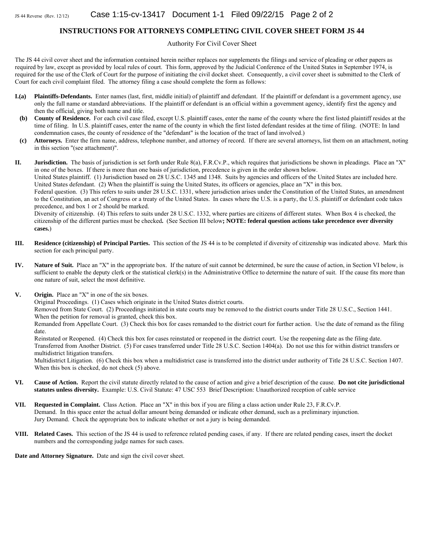#### **INSTRUCTIONS FOR ATTORNEYS COMPLETING CIVIL COVER SHEET FORM JS 44**

Authority For Civil Cover Sheet

The JS 44 civil cover sheet and the information contained herein neither replaces nor supplements the filings and service of pleading or other papers as required by law, except as provided by local rules of court. This form, approved by the Judicial Conference of the United States in September 1974, is required for the use of the Clerk of Court for the purpose of initiating the civil docket sheet. Consequently, a civil cover sheet is submitted to the Clerk of Court for each civil complaint filed. The attorney filing a case should complete the form as follows:

- **I.(a)** Plaintiffs-Defendants. Enter names (last, first, middle initial) of plaintiff and defendant. If the plaintiff or defendant is a government agency, use only the full name or standard abbreviations. If the plaintiff or defendant is an official within a government agency, identify first the agency and then the official, giving both name and title.
- (b) County of Residence. For each civil case filed, except U.S. plaintiff cases, enter the name of the county where the first listed plaintiff resides at the time of filing. In U.S. plaintiff cases, enter the name of the county in which the first listed defendant resides at the time of filing. (NOTE: In land condemnation cases, the county of residence of the "defendant" is the location of the tract of land involved.)
- (c) Attorneys. Enter the firm name, address, telephone number, and attorney of record. If there are several attorneys, list them on an attachment, noting in this section "(see attachment)".

**II.** Jurisdiction. The basis of jurisdiction is set forth under Rule 8(a), F.R.Cv.P., which requires that jurisdictions be shown in pleadings. Place an "X" in one of the boxes. If there is more than one basis of jurisdiction, precedence is given in the order shown below. United States plaintiff. (1) Jurisdiction based on 28 U.S.C. 1345 and 1348. Suits by agencies and officers of the United States are included here. United States defendant. (2) When the plaintiff is suing the United States, its officers or agencies, place an "X" in this box. Federal question. (3) This refers to suits under 28 U.S.C. 1331, where jurisdiction arises under the Constitution of the United States, an amendment

to the Constitution, an act of Congress or a treaty of the United States. In cases where the U.S. is a party, the U.S. plaintiff or defendant code takes precedence, and box 1 or 2 should be marked.

Diversity of citizenship. (4) This refers to suits under 28 U.S.C. 1332, where parties are citizens of different states. When Box 4 is checked, the citizenship of the different parties must be checked. (See Section III below; **NOTE: federal question actions take precedence over diversity cases.** 

- **III.** Residence (citizenship) of Principal Parties. This section of the JS 44 is to be completed if diversity of citizenship was indicated above. Mark this section for each principal party.
- **IV.** Nature of Suit. Place an "X" in the appropriate box. If the nature of suit cannot be determined, be sure the cause of action, in Section VI below, is sufficient to enable the deputy clerk or the statistical clerk(s) in the Administrative Office to determine the nature of suit. If the cause fits more than one nature of suit, select the most definitive.
- **V.** Origin. Place an "X" in one of the six boxes.

Original Proceedings. (1) Cases which originate in the United States district courts.

Removed from State Court. (2) Proceedings initiated in state courts may be removed to the district courts under Title 28 U.S.C., Section 1441. When the petition for removal is granted, check this box.

Remanded from Appellate Court. (3) Check this box for cases remanded to the district court for further action. Use the date of remand as the filing date

Reinstated or Reopened. (4) Check this box for cases reinstated or reopened in the district court. Use the reopening date as the filing date. Transferred from Another District. (5) For cases transferred under Title 28 U.S.C. Section 1404(a). Do not use this for within district transfers or multidistrict litigation transfers.

Multidistrict Litigation. (6) Check this box when a multidistrict case is transferred into the district under authority of Title 28 U.S.C. Section 1407. When this box is checked, do not check  $(5)$  above.

- VI. Cause of Action. Report the civil statute directly related to the cause of action and give a brief description of the cause. Do not cite jurisdictional statutes unless diversity. Example: U.S. Civil Statute: 47 USC 553 Brief Description: Unauthorized reception of cable service
- **VII.** Requested in Complaint. Class Action. Place an "X" in this box if you are filing a class action under Rule 23, F.R.Cv.P. Demand. In this space enter the actual dollar amount being demanded or indicate other demand, such as a preliminary injunction. Jury Demand. Check the appropriate box to indicate whether or not a jury is being demanded.
- VIII. Related Cases. This section of the JS 44 is used to reference related pending cases, if any. If there are related pending cases, insert the docket numbers and the corresponding judge names for such cases.

Date and Attorney Signature. Date and sign the civil cover sheet.